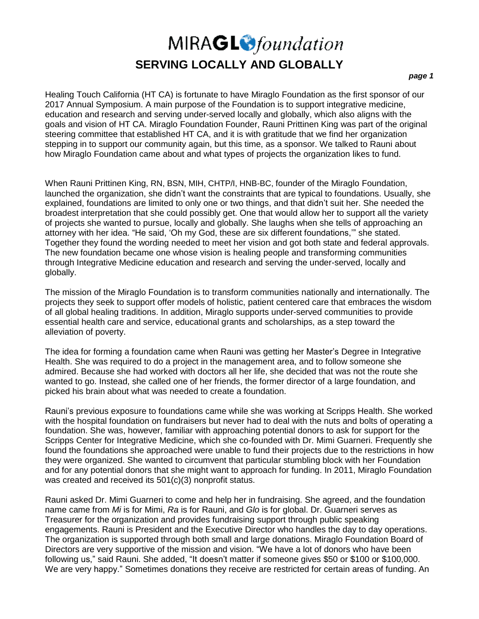## MIRAGL<sup>O</sup>foundation **SERVING LOCALLY AND GLOBALLY**

### *page 1*

Healing Touch California (HT CA) is fortunate to have Miraglo Foundation as the first sponsor of our 2017 Annual Symposium. A main purpose of the Foundation is to support integrative medicine, education and research and serving under-served locally and globally, which also aligns with the goals and vision of HT CA. Miraglo Foundation Founder, Rauni Prittinen King was part of the original steering committee that established HT CA, and it is with gratitude that we find her organization stepping in to support our community again, but this time, as a sponsor. We talked to Rauni about how Miraglo Foundation came about and what types of projects the organization likes to fund.

When Rauni Prittinen King, RN, BSN, MIH, CHTP/I, HNB-BC, founder of the Miraglo Foundation, launched the organization, she didn't want the constraints that are typical to foundations. Usually, she explained, foundations are limited to only one or two things, and that didn't suit her. She needed the broadest interpretation that she could possibly get. One that would allow her to support all the variety of projects she wanted to pursue, locally and globally. She laughs when she tells of approaching an attorney with her idea. "He said, 'Oh my God, these are six different foundations,'" she stated. Together they found the wording needed to meet her vision and got both state and federal approvals. The new foundation became one whose vision is healing people and transforming communities through Integrative Medicine education and research and serving the under-served, locally and globally.

The mission of the Miraglo Foundation is to transform communities nationally and internationally. The projects they seek to support offer models of holistic, patient centered care that embraces the wisdom of all global healing traditions. In addition, Miraglo supports under-served communities to provide essential health care and service, educational grants and scholarships, as a step toward the alleviation of poverty.

The idea for forming a foundation came when Rauni was getting her Master's Degree in Integrative Health. She was required to do a project in the management area, and to follow someone she admired. Because she had worked with doctors all her life, she decided that was not the route she wanted to go. Instead, she called one of her friends, the former director of a large foundation, and picked his brain about what was needed to create a foundation.

Rauni's previous exposure to foundations came while she was working at Scripps Health. She worked with the hospital foundation on fundraisers but never had to deal with the nuts and bolts of operating a foundation. She was, however, familiar with approaching potential donors to ask for support for the Scripps Center for Integrative Medicine, which she co-founded with Dr. Mimi Guarneri. Frequently she found the foundations she approached were unable to fund their projects due to the restrictions in how they were organized. She wanted to circumvent that particular stumbling block with her Foundation and for any potential donors that she might want to approach for funding. In 2011, Miraglo Foundation was created and received its 501(c)(3) nonprofit status.

Rauni asked Dr. Mimi Guarneri to come and help her in fundraising. She agreed, and the foundation name came from *Mi* is for Mimi, *Ra* is for Rauni, and *Glo* is for global. Dr. Guarneri serves as Treasurer for the organization and provides fundraising support through public speaking engagements. Rauni is President and the Executive Director who handles the day to day operations. The organization is supported through both small and large donations. Miraglo Foundation Board of Directors are very supportive of the mission and vision. "We have a lot of donors who have been following us," said Rauni. She added, "It doesn't matter if someone gives \$50 or \$100 or \$100,000. We are very happy." Sometimes donations they receive are restricted for certain areas of funding. An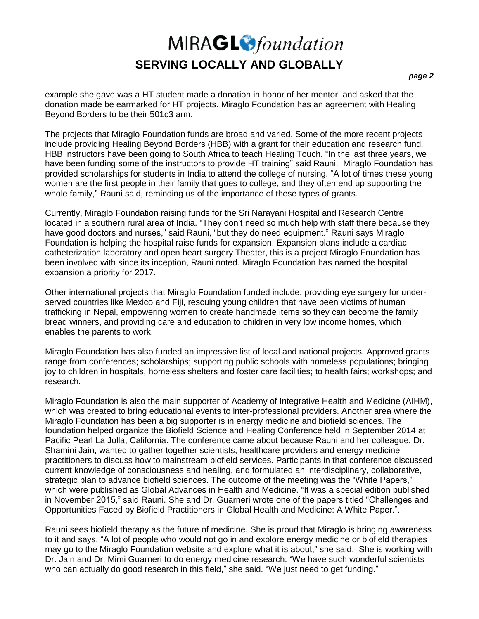### MIRAGL<sup>O</sup>foundation **SERVING LOCALLY AND GLOBALLY**

#### *page 2*

example she gave was a HT student made a donation in honor of her mentor and asked that the donation made be earmarked for HT projects. Miraglo Foundation has an agreement with Healing Beyond Borders to be their 501c3 arm.

The projects that Miraglo Foundation funds are broad and varied. Some of the more recent projects include providing Healing Beyond Borders (HBB) with a grant for their education and research fund. HBB instructors have been going to South Africa to teach Healing Touch. "In the last three years, we have been funding some of the instructors to provide HT training" said Rauni. Miraglo Foundation has provided scholarships for students in India to attend the college of nursing. "A lot of times these young women are the first people in their family that goes to college, and they often end up supporting the whole family," Rauni said, reminding us of the importance of these types of grants.

Currently, Miraglo Foundation raising funds for the Sri Narayani Hospital and Research Centre located in a southern rural area of India. "They don't need so much help with staff there because they have good doctors and nurses," said Rauni, "but they do need equipment." Rauni says Miraglo Foundation is helping the hospital raise funds for expansion. Expansion plans include a cardiac catheterization laboratory and open heart surgery Theater, this is a project Miraglo Foundation has been involved with since its inception, Rauni noted. Miraglo Foundation has named the hospital expansion a priority for 2017.

Other international projects that Miraglo Foundation funded include: providing eye surgery for underserved countries like Mexico and Fiji, rescuing young children that have been victims of human trafficking in Nepal, empowering women to create handmade items so they can become the family bread winners, and providing care and education to children in very low income homes, which enables the parents to work.

Miraglo Foundation has also funded an impressive list of local and national projects. Approved grants range from conferences; scholarships; supporting public schools with homeless populations; bringing joy to children in hospitals, homeless shelters and foster care facilities; to health fairs; workshops; and research.

Miraglo Foundation is also the main supporter of Academy of Integrative Health and Medicine (AIHM), which was created to bring educational events to inter-professional providers. Another area where the Miraglo Foundation has been a big supporter is in energy medicine and biofield sciences. The foundation helped organize the Biofield Science and Healing Conference held in September 2014 at Pacific Pearl La Jolla, California. The conference came about because Rauni and her colleague, Dr. Shamini Jain, wanted to gather together scientists, healthcare providers and energy medicine practitioners to discuss how to mainstream biofield services. Participants in that conference discussed current knowledge of consciousness and healing, and formulated an interdisciplinary, collaborative, strategic plan to advance biofield sciences. The outcome of the meeting was the "White Papers," which were published as Global Advances in Health and Medicine. "It was a special edition published in November 2015," said Rauni. She and Dr. Guarneri wrote one of the papers titled "Challenges and Opportunities Faced by Biofield Practitioners in Global Health and Medicine: A White Paper.".

Rauni sees biofield therapy as the future of medicine. She is proud that Miraglo is bringing awareness to it and says, "A lot of people who would not go in and explore energy medicine or biofield therapies may go to the Miraglo Foundation website and explore what it is about," she said. She is working with Dr. Jain and Dr. Mimi Guarneri to do energy medicine research. "We have such wonderful scientists who can actually do good research in this field," she said. "We just need to get funding."